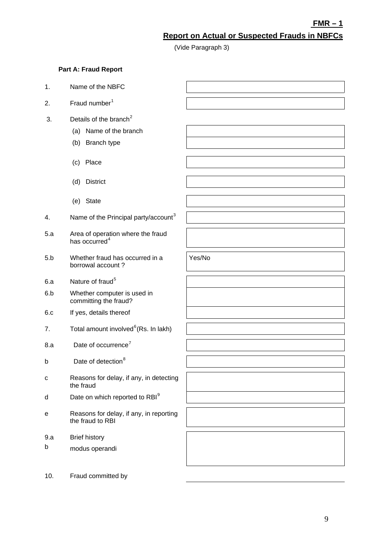**FMR – 1**

# **Report on Actual or Suspected Frauds in NBFCs**

(Vide Paragraph 3)

Yes/No

## **Part A: Fraud Report**

- 1. Name of the NBFC
- 2. Fraud number $1$
- 3. Details of the branch<sup>2</sup>
	- (a) Name of the branch
	- (b) Branch type
	- (c) Place
	- (d) District
	- (e) State
- 4. Name of the Principal party/account<sup>3</sup>
- 5.a Area of operation where the fraud has occurred $4$
- 5.b Whether fraud has occurred in a borrowal account ?
- 6.a Nature of fraud<sup>5</sup>
- 6.b Whether computer is used in committing the fraud?
- 6.c If yes, details thereof
- 7. Total amount involved ${}^6$ (Rs. In lakh)
- 8.a Date of occurrence<sup>7</sup>
- b Date of detection $8$
- c Reasons for delay, if any, in detecting the fraud
- $d$  Date on which reported to RBI $<sup>9</sup>$ </sup>
- e Reasons for delay, if any, in reporting the fraud to RBI
- 9.a Brief history
- b modus operandi
- 10. Fraud committed by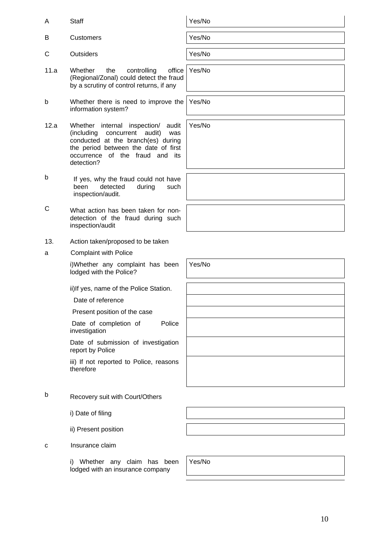Yes/No

- B Customers **Yes/No**
- C Outsiders **Yes/No**
- 11.a Whether the controlling office (Regional/Zonal) could detect the fraud by a scrutiny of control returns, if any
- b Whether there is need to improve the information system?
- 12.a Whether internal inspection/ audit (including concurrent audit) was conducted at the branch(es) during the period between the date of first occurrence of the fraud and its detection?
- b If yes, why the fraud could not have been detected during such inspection/audit.
- C What action has been taken for nondetection of the fraud during such inspection/audit
- 13. Action taken/proposed to be taken
- a Complaint with Police

i)Whether any complaint has been lodged with the Police?

ii)If yes, name of the Police Station.

Date of reference

Present position of the case

Date of completion of Police investigation

Date of submission of investigation report by Police

iii) If not reported to Police, reasons therefore

- b Recovery suit with Court/Others
	- i) Date of filing
	- ii) Present position
- c Insurance claim

i) Whether any claim has been lodged with an insurance company

Yes/No

Yes/No

Yes/No

Yes/No

Yes/No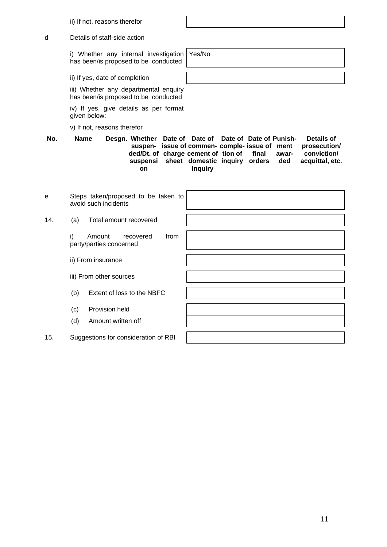ii) If not, reasons therefor

d Details of staff-side action

i) Whether any internal investigation has been/is proposed to be conducted

ii) If yes, date of completion

iii) Whether any departmental enquiry has been/is proposed to be conducted

iv) If yes, give details as per format given below:

v) If not, reasons therefor

No. Name Desgn. Whether Date of Date of Date of Date of Punish**suspen-issue of commen-comple-issue of ment ded/Dt. of charge cement of tion of final awarsuspensi sheet domestic inquiry orders ded on inquiry Details of prosecution/ conviction/ acquittal, etc.**

| e   |                                                              | Steps taken/proposed to be taken to<br>avoid such incidents |  |
|-----|--------------------------------------------------------------|-------------------------------------------------------------|--|
| 14. | (a)                                                          | Total amount recovered                                      |  |
|     | i)                                                           | from<br>Amount<br>recovered<br>party/parties concerned      |  |
|     |                                                              | ii) From insurance                                          |  |
|     | iii) From other sources<br>Extent of loss to the NBFC<br>(b) |                                                             |  |
|     |                                                              |                                                             |  |
|     | (c)                                                          | Provision held                                              |  |
|     | (d)                                                          | Amount written off                                          |  |
| 15. | Suggestions for consideration of RBI                         |                                                             |  |

Yes/No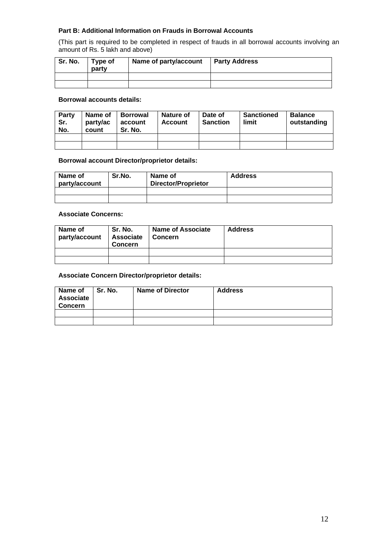## **Part B: Additional Information on Frauds in Borrowal Accounts**

(This part is required to be completed in respect of frauds in all borrowal accounts involving an amount of Rs. 5 lakh and above)

| Sr. No. | Type of<br>party | Name of party/account | <b>Party Address</b> |
|---------|------------------|-----------------------|----------------------|
|         |                  |                       |                      |
|         |                  |                       |                      |

### **Borrowal accounts details:**

| <b>Party</b><br>Sr.<br>No. | Name of<br>party/ac<br>count | <b>Borrowal</b><br>account<br>Sr. No. | <b>Nature of</b><br><b>Account</b> | Date of<br><b>Sanction</b> | <b>Sanctioned</b><br>limit | <b>Balance</b><br>outstanding |
|----------------------------|------------------------------|---------------------------------------|------------------------------------|----------------------------|----------------------------|-------------------------------|
|                            |                              |                                       |                                    |                            |                            |                               |
|                            |                              |                                       |                                    |                            |                            |                               |

#### **Borrowal account Director/proprietor details:**

| Name of<br>party/account | Sr.No. | Name of<br><b>Director/Proprietor</b> | <b>Address</b> |
|--------------------------|--------|---------------------------------------|----------------|
|                          |        |                                       |                |
|                          |        |                                       |                |

## **Associate Concerns:**

| Name of<br>party/account | Sr. No.<br>Associate<br><b>Concern</b> | <b>Name of Associate</b><br>Concern | <b>Address</b> |
|--------------------------|----------------------------------------|-------------------------------------|----------------|
|                          |                                        |                                     |                |
|                          |                                        |                                     |                |

### **Associate Concern Director/proprietor details:**

| Name of<br><b>Associate</b><br><b>Concern</b> | Sr. No. | <b>Name of Director</b> | <b>Address</b> |
|-----------------------------------------------|---------|-------------------------|----------------|
|                                               |         |                         |                |
|                                               |         |                         |                |